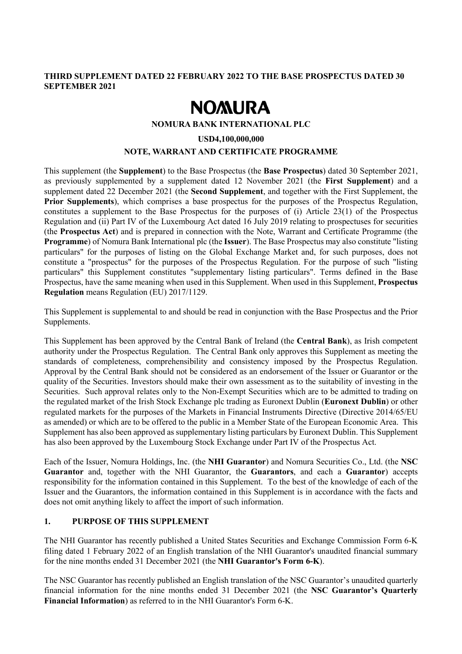## **THIRD SUPPLEMENT DATED 22 FEBRUARY 2022 TO THE BASE PROSPECTUS DATED 30 SEPTEMBER 2021**

# **NOMURA**

#### **NOMURA BANK INTERNATIONAL PLC**

#### **USD4,100,000,000**

#### **NOTE, WARRANT AND CERTIFICATE PROGRAMME**

This supplement (the **Supplement**) to the Base Prospectus (the **Base Prospectus**) dated 30 September 2021, as previously supplemented by a supplement dated 12 November 2021 (the **First Supplement**) and a supplement dated 22 December 2021 (the **Second Supplement**, and together with the First Supplement, the **Prior Supplements**), which comprises a base prospectus for the purposes of the Prospectus Regulation, constitutes a supplement to the Base Prospectus for the purposes of (i) Article 23(1) of the Prospectus Regulation and (ii) Part IV of the Luxembourg Act dated 16 July 2019 relating to prospectuses for securities (the **Prospectus Act**) and is prepared in connection with the Note, Warrant and Certificate Programme (the **Programme**) of Nomura Bank International plc (the **Issuer**). The Base Prospectus may also constitute "listing particulars" for the purposes of listing on the Global Exchange Market and, for such purposes, does not constitute a "prospectus" for the purposes of the Prospectus Regulation. For the purpose of such "listing particulars" this Supplement constitutes "supplementary listing particulars". Terms defined in the Base Prospectus, have the same meaning when used in this Supplement. When used in this Supplement, **Prospectus Regulation** means Regulation (EU) 2017/1129.

This Supplement is supplemental to and should be read in conjunction with the Base Prospectus and the Prior Supplements.

This Supplement has been approved by the Central Bank of Ireland (the **Central Bank**), as Irish competent authority under the Prospectus Regulation. The Central Bank only approves this Supplement as meeting the standards of completeness, comprehensibility and consistency imposed by the Prospectus Regulation. Approval by the Central Bank should not be considered as an endorsement of the Issuer or Guarantor or the quality of the Securities. Investors should make their own assessment as to the suitability of investing in the Securities. Such approval relates only to the Non-Exempt Securities which are to be admitted to trading on the regulated market of the Irish Stock Exchange plc trading as Euronext Dublin (**Euronext Dublin**) or other regulated markets for the purposes of the Markets in Financial Instruments Directive (Directive 2014/65/EU as amended) or which are to be offered to the public in a Member State of the European Economic Area. This Supplement has also been approved as supplementary listing particulars by Euronext Dublin. This Supplement has also been approved by the Luxembourg Stock Exchange under Part IV of the Prospectus Act.

Each of the Issuer, Nomura Holdings, Inc. (the **NHI Guarantor**) and Nomura Securities Co., Ltd. (the **NSC Guarantor** and, together with the NHI Guarantor, the **Guarantors**, and each a **Guarantor**) accepts responsibility for the information contained in this Supplement. To the best of the knowledge of each of the Issuer and the Guarantors, the information contained in this Supplement is in accordance with the facts and does not omit anything likely to affect the import of such information.

## **1. PURPOSE OF THIS SUPPLEMENT**

The NHI Guarantor has recently published a United States Securities and Exchange Commission Form 6-K filing dated 1 February 2022 of an English translation of the NHI Guarantor's unaudited financial summary for the nine months ended 31 December 2021 (the **NHI Guarantor's Form 6-K**).

The NSC Guarantor has recently published an English translation of the NSC Guarantor's unaudited quarterly financial information for the nine months ended 31 December 2021 (the **NSC Guarantor's Quarterly Financial Information**) as referred to in the NHI Guarantor's Form 6-K.